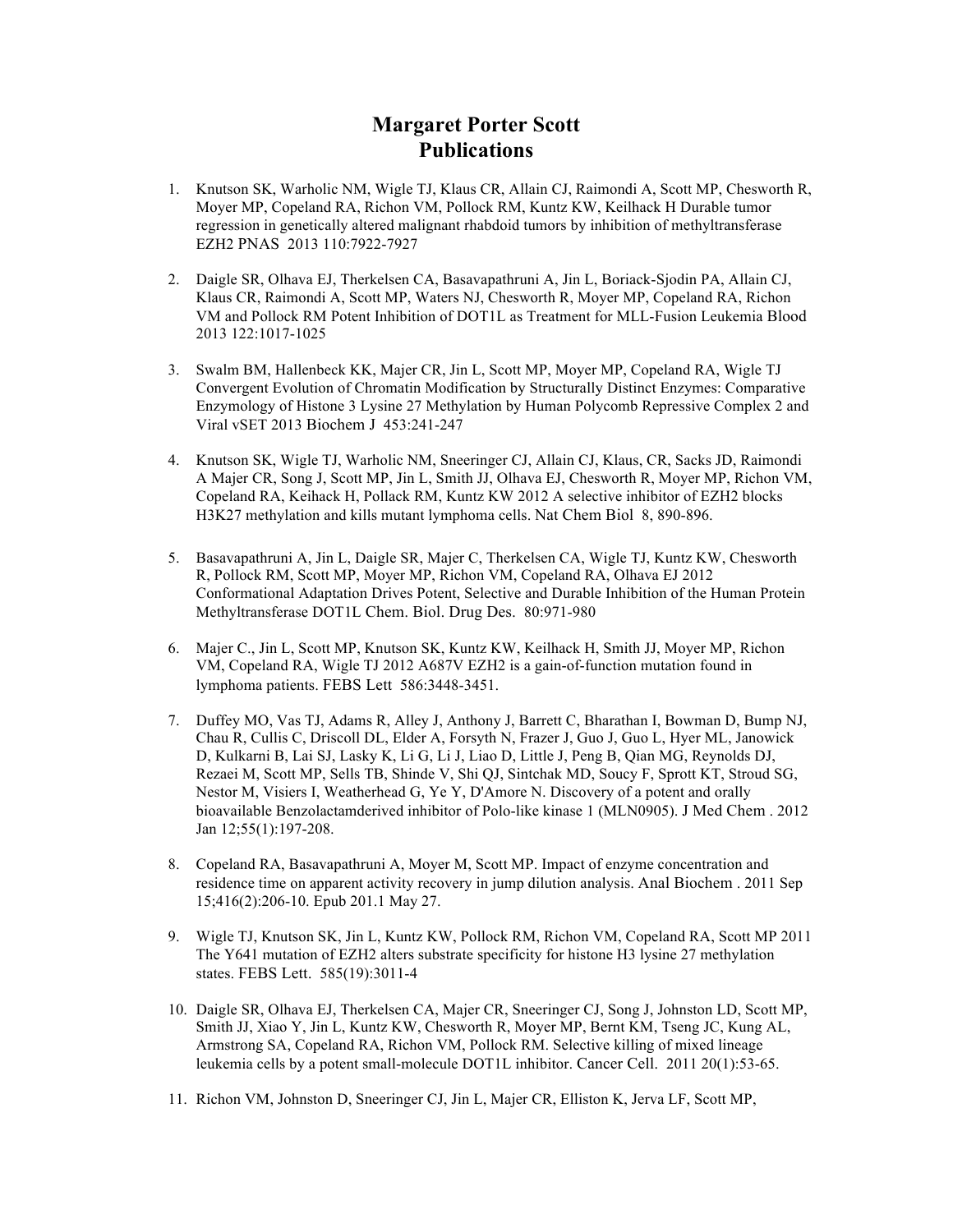## **Margaret Porter Scott Publications**

- 1. Knutson SK, Warholic NM, Wigle TJ, Klaus CR, Allain CJ, Raimondi A, Scott MP, Chesworth R, Moyer MP, Copeland RA, Richon VM, Pollock RM, Kuntz KW, Keilhack H Durable tumor regression in genetically altered malignant rhabdoid tumors by inhibition of methyltransferase EZH2 PNAS 2013 110:7922-7927
- 2. Daigle SR, Olhava EJ, Therkelsen CA, Basavapathruni A, Jin L, Boriack-Sjodin PA, Allain CJ, Klaus CR, Raimondi A, Scott MP, Waters NJ, Chesworth R, Moyer MP, Copeland RA, Richon VM and Pollock RM Potent Inhibition of DOT1L as Treatment for MLL-Fusion Leukemia Blood 2013 122:1017-1025
- 3. Swalm BM, Hallenbeck KK, Majer CR, Jin L, Scott MP, Moyer MP, Copeland RA, Wigle TJ Convergent Evolution of Chromatin Modification by Structurally Distinct Enzymes: Comparative Enzymology of Histone 3 Lysine 27 Methylation by Human Polycomb Repressive Complex 2 and Viral vSET 2013 Biochem J 453:241-247
- 4. Knutson SK, Wigle TJ, Warholic NM, Sneeringer CJ, Allain CJ, Klaus, CR, Sacks JD, Raimondi A Majer CR, Song J, Scott MP, Jin L, Smith JJ, Olhava EJ, Chesworth R, Moyer MP, Richon VM, Copeland RA, Keihack H, Pollack RM, Kuntz KW 2012 A selective inhibitor of EZH2 blocks H3K27 methylation and kills mutant lymphoma cells. Nat Chem Biol 8, 890-896.
- 5. Basavapathruni A, Jin L, Daigle SR, Majer C, Therkelsen CA, Wigle TJ, Kuntz KW, Chesworth R, Pollock RM, Scott MP, Moyer MP, Richon VM, Copeland RA, Olhava EJ 2012 Conformational Adaptation Drives Potent, Selective and Durable Inhibition of the Human Protein Methyltransferase DOT1L Chem. Biol. Drug Des. 80:971-980
- 6. Majer C., Jin L, Scott MP, Knutson SK, Kuntz KW, Keilhack H, Smith JJ, Moyer MP, Richon VM, Copeland RA, Wigle TJ 2012 A687V EZH2 is a gain-of-function mutation found in lymphoma patients. FEBS Lett 586:3448-3451.
- 7. Duffey MO, Vas TJ, Adams R, Alley J, Anthony J, Barrett C, Bharathan I, Bowman D, Bump NJ, Chau R, Cullis C, Driscoll DL, Elder A, Forsyth N, Frazer J, Guo J, Guo L, Hyer ML, Janowick D, Kulkarni B, Lai SJ, Lasky K, Li G, Li J, Liao D, Little J, Peng B, Qian MG, Reynolds DJ, Rezaei M, Scott MP, Sells TB, Shinde V, Shi QJ, Sintchak MD, Soucy F, Sprott KT, Stroud SG, Nestor M, Visiers I, Weatherhead G, Ye Y, D'Amore N. Discovery of a potent and orally bioavailable Benzolactamderived inhibitor of Polo-like kinase 1 (MLN0905). J Med Chem . 2012 Jan 12;55(1):197-208.
- 8. Copeland RA, Basavapathruni A, Moyer M, Scott MP. Impact of enzyme concentration and residence time on apparent activity recovery in jump dilution analysis. Anal Biochem . 2011 Sep 15;416(2):206-10. Epub 201.1 May 27.
- 9. Wigle TJ, Knutson SK, Jin L, Kuntz KW, Pollock RM, Richon VM, Copeland RA, Scott MP 2011 The Y641 mutation of EZH2 alters substrate specificity for histone H3 lysine 27 methylation states. FEBS Lett. 585(19):3011-4
- 10. Daigle SR, Olhava EJ, Therkelsen CA, Majer CR, Sneeringer CJ, Song J, Johnston LD, Scott MP, Smith JJ, Xiao Y, Jin L, Kuntz KW, Chesworth R, Moyer MP, Bernt KM, Tseng JC, Kung AL, Armstrong SA, Copeland RA, Richon VM, Pollock RM. Selective killing of mixed lineage leukemia cells by a potent small-molecule DOT1L inhibitor. Cancer Cell. 2011 20(1):53-65.
- 11. Richon VM, Johnston D, Sneeringer CJ, Jin L, Majer CR, Elliston K, Jerva LF, Scott MP,